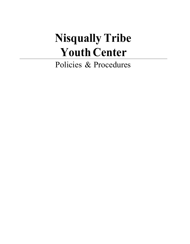# **Nisqually Tribe Youth Center**

Policies & Procedures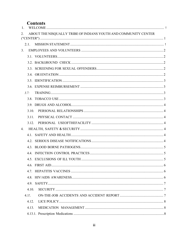### **Contents**

| 1.               |                                                                 |  |
|------------------|-----------------------------------------------------------------|--|
| $\overline{2}$ . | ABOUT THE NISQUALLY TRIBE OF INDIANS YOUTH AND COMMUNITY CENTER |  |
|                  |                                                                 |  |
|                  | 2.1.                                                            |  |
| 3.               |                                                                 |  |
|                  |                                                                 |  |
|                  |                                                                 |  |
|                  |                                                                 |  |
|                  |                                                                 |  |
|                  |                                                                 |  |
|                  |                                                                 |  |
|                  | 3.7:                                                            |  |
|                  |                                                                 |  |
|                  |                                                                 |  |
|                  | 3.10.                                                           |  |
|                  | 3.11.                                                           |  |
|                  | 3.12.                                                           |  |
| 4.               |                                                                 |  |
|                  |                                                                 |  |
|                  |                                                                 |  |
|                  |                                                                 |  |
|                  |                                                                 |  |
|                  |                                                                 |  |
|                  |                                                                 |  |
|                  | 4.7.                                                            |  |
|                  | 4.8.                                                            |  |
|                  | 4.9.                                                            |  |
|                  | 4.10.                                                           |  |
|                  | $4.1!$ .                                                        |  |
|                  | 4.12.                                                           |  |
|                  | 4.13.                                                           |  |
|                  |                                                                 |  |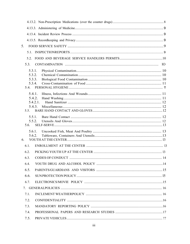| 5.             |  |
|----------------|--|
| 5.1.           |  |
| 5.2.           |  |
| 5.3.           |  |
| 5.3.1.         |  |
| 5.3.2.         |  |
| 5.3.3.         |  |
| 5.3.4.<br>5.4. |  |
| 5.4.1.         |  |
| 5.4.2.         |  |
| 5.4.2.1.       |  |
| 5.4.3.         |  |
| 5.5.           |  |
| 5.5.1.         |  |
| 5.5.2.<br>5.6. |  |
| 5.6.1.         |  |
| 5.6.2.         |  |
| 6.             |  |
| 6.1.           |  |
| 6.2.           |  |
| 6.3.           |  |
| 6.4.           |  |
| 6.5.           |  |
| 6.6.           |  |
| 6.7.           |  |
|                |  |
| 7.1.           |  |
| 7.2.           |  |
| 7.3.           |  |
| 7.4.           |  |
| 7.5.           |  |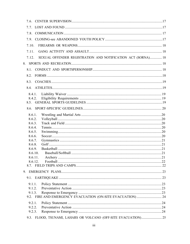| 7.10.            |                                                              |  |
|------------------|--------------------------------------------------------------|--|
| 7.11.            |                                                              |  |
| 7.12.            | SEXUAL OFFENDER REGISTRATION AND NOTIFICATION ACT (SORNA) 18 |  |
|                  |                                                              |  |
| 8.1.             |                                                              |  |
| 8.2.             |                                                              |  |
| 8.3.             |                                                              |  |
|                  |                                                              |  |
|                  |                                                              |  |
| 8.4.1.<br>8.4.2. |                                                              |  |
|                  |                                                              |  |
| 8.6.             |                                                              |  |
| 8.6.1.           |                                                              |  |
| 8.6.2.           |                                                              |  |
| 8.6.3.           |                                                              |  |
| 8.6.4.           |                                                              |  |
| 8.6.5.           |                                                              |  |
| 8.6.6.<br>8.6.7. |                                                              |  |
| 8.6.8.           |                                                              |  |
| 8.6.9.           |                                                              |  |
| 8.6.10.          |                                                              |  |
|                  |                                                              |  |
| 8.6.12.          |                                                              |  |
|                  |                                                              |  |
|                  |                                                              |  |
|                  |                                                              |  |
| 9.1.1.           |                                                              |  |
| 9.1.2.           |                                                              |  |
| 9.1.3.           |                                                              |  |
|                  |                                                              |  |
| 9.2.1.           |                                                              |  |
| 9.2.2.           |                                                              |  |
| 9.2.3.           |                                                              |  |
| 9.3.             | FLOOD, TSUNAMI, LAHARS OR VOLCANO (OFF-SITE EVACUATION) 25   |  |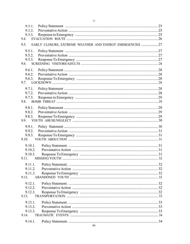| 9.3.1.             |                                                           |  |
|--------------------|-----------------------------------------------------------|--|
| 9.3.2.<br>9.3.3.   |                                                           |  |
| 9.4.               |                                                           |  |
| 9.5.               | EARLY CLOSURE, EXTREME WEATHER AND ENERGY EMERGENCIES  27 |  |
| 9.5.1.             |                                                           |  |
| 9.5.2.             |                                                           |  |
| 9.5.3.             |                                                           |  |
| 9.6.               |                                                           |  |
| 9.6.1.             |                                                           |  |
| 9.6.2.             |                                                           |  |
| 9.6.3.<br>9.7.     |                                                           |  |
| 9.7.1.             |                                                           |  |
| 9.7.2.             |                                                           |  |
| 9.7.3.             |                                                           |  |
| 9.8.               |                                                           |  |
| 9.8.1.             |                                                           |  |
| 9.8.2.             |                                                           |  |
| 9.8.3.             |                                                           |  |
| 9.9.               |                                                           |  |
| 9.9.1.             |                                                           |  |
| 9.9.2.             |                                                           |  |
| 9.9.3.<br>9.10.    |                                                           |  |
|                    |                                                           |  |
| 9.10.1.<br>9.10.2. |                                                           |  |
| 9.10.3.            |                                                           |  |
| 9.11.              |                                                           |  |
| 9.11.1.            |                                                           |  |
| 9.11.2.            |                                                           |  |
| 9.11.3.            |                                                           |  |
| 9.12.              |                                                           |  |
| 9.12.1.            |                                                           |  |
| 9.12.2.            |                                                           |  |
| 9.12.3.<br>9.13.   |                                                           |  |
|                    |                                                           |  |
| 9.13.1.            |                                                           |  |
| 9.13.2.<br>9.13.3. |                                                           |  |
| 9.14.              |                                                           |  |
| 9.14.1.            |                                                           |  |
|                    |                                                           |  |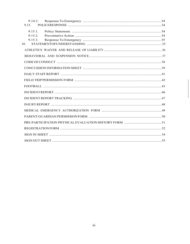| 9.14.2.    |  |
|------------|--|
| 9.15.      |  |
| 9.15.1.    |  |
| 9.15.2.    |  |
| 9.15.3.    |  |
| 10.        |  |
|            |  |
|            |  |
|            |  |
|            |  |
|            |  |
|            |  |
| $FOOTPALL$ |  |
|            |  |
|            |  |
|            |  |
|            |  |
|            |  |
|            |  |
|            |  |
|            |  |
|            |  |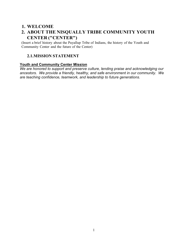### **1. WELCOME 2. ABOUT THE NISQUALLY TRIBE COMMUNITY YOUTH CENTER ("CENTER")**

(Insert a brief history about the Puyallup Tribe of Indians, the history of the Youth and Community Center and the future of the Center)

#### **2.1.MISSION STATEMENT**

#### **Youth and Community Center Mission**

*We are honored to support and preserve culture, lending praise and acknowledging our ancestors. We provide a friendly, healthy, and safe environment in our community. We are teaching confidence, teamwork, and leadership to future generations.*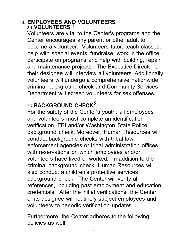### **3. EMPLOYEES AND VOLUNTEERS 3.1.VOLUNTEERS 1**

Volunteers are vital to the Center's programs and the Center encourages any parent or other adult to become a volunteer. Volunteers tutor, teach classes, help with special events, fundraise, work in the office, participate on programs and help with building, repair and maintenance projects. The Executive Director or their designee will interview all volunteers. Additionally, volunteers will undergo a comprehensive nationwide criminal background check and Community Services Department will screen volunteers for sex offenses.

# **3.2.BACKGROUND CHECK2**

For the safety of the Center's youth, all employees and volunteers must complete an identification verification, FBI and/or Washington State Police background check. Moreover, Human Resources will conduct background checks with tribal law enforcement agencies or tribal administration offices with reservations on which employees and/or volunteers have lived or worked. In addition to the criminal background check, Human Resources will also conduct a children's protective services background check. The Center will verify all references, including past employment and education credentials. After the initial verifications, the Center or its designee will routinely subject employees and volunteers to periodic verification updates.

Furthermore, the Center adheres to the following policies as well: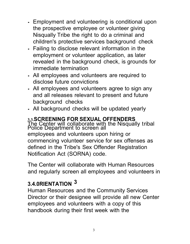- Employment and volunteering is conditional upon the prospective employee or volunteer giving Nisqually Tribe the right to do a criminal and children's protective services background check
- Failing to disclose relevant information in the employment or volunteer application, as later revealed in the background check, is grounds for immediate termination
- All employees and volunteers are required to disclose future convictions
- All employees and volunteers agree to sign any and all releases relevant to present and future background checks
- All background checks will be updated yearly

## **3.3.SCREENING FOR SEXUAL OFFENDERS**

The Center will collaborate with the Nisqually tribal Police Department to screen all employees and volunteers upon hiring or commencing volunteer service for sex offenses as defined in the Tribe's Sex Offender Registration Notification Act (SORNA) code.

The Center will collaborate with Human Resources and regularly screen all employees and volunteers in

# **3.4.0RIENTATION 3**

Human Resources and the Community Services Director or their designee will provide all new Center employees and volunteers with a copy of this handbook during their first week with the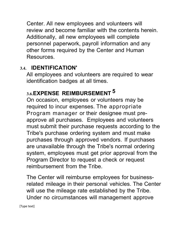Center. All new employees and volunteers will review and become familiar with the contents herein. Additionally, all new employees will complete personnel paperwork, payroll information and any other forms required by the Center and Human Resources.

### **3.4. IDENTIFICATION'**

All employees and volunteers are required to wear identification badges at all times.

# **3.6.EXPENSE REIMBURSEMENT 5**

On occasion, employees or volunteers may be required to incur expenses. The appropriate Program manager or their designee must preapprove all purchases. Employees and volunteers must submit their purchase requests according to the Tribe's purchase ordering system and must make purchases through approved vendors. If purchases are unavailable through the Tribe's normal ordering system, employees must get prior approval from the Program Director to request a check or request reimbursement from the Tribe.

The Center will reimburse employees for businessrelated mileage in their personal vehicles. The Center will use the mileage rate established by the Tribe. Under no circumstances will management approve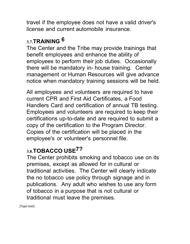travel if the employee does not have a valid driver's license and current automobile insurance.

# **3.7.TRAINING 6**

The Center and the Tribe may provide trainings that benefit employees and enhance the ability of employees to perform their job duties. Occasionally there will be mandatory in- house training. Center management or Human Resources will give advance notice when mandatory training sessions will be held.

All employees and volunteers are required to have current CPR and First Aid Certificates, a Food Handlers Card and certification of annual TB testing. Employees and volunteers are required to keep their certifications up-to-date and are required to submit a copy of the certification to the Program Director. Copies of the certification will be placed in the employee's or volunteer's personnel file.

# **3.8.TOBACCO USE7?**

The Center prohibits smoking and tobacco use on its premises, except as allowed for in cultural or traditional activities. The Center will clearly indicate the no tobacco use policy through signage and in publications. Any adult who wishes to use any form of tobacco in a purpose that is not cultural or traditional must leave the premises.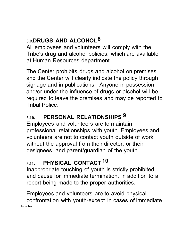# **3.9.DRUGS AND ALCOHOL8**

All employees and volunteers will comply with the Tribe's drug and alcohol policies, which are available at Human Resources department.

The Center prohibits drugs and alcohol on premises and the Center will clearly indicate the policy through signage and in publications. Anyone in possession and/or under the influence of drugs or alcohol will be required to leave the premises and may be reported to Tribal Police.

# **3.10. PERSONAL RELATIONSHIPS 9**

Employees and volunteers are to maintain professional relationships with youth. Employees and volunteers are not to contact youth outside of work without the approval from their director, or their designees, and parent/guardian of the youth.

# **3.11. PHYSICAL CONTACT 10**

Inappropriate touching of youth is strictly prohibited and cause for immediate termination, in addition to a report being made to the proper authorities.

[Type text] Employees and volunteers are to avoid physical confrontation with youth-except in cases of immediate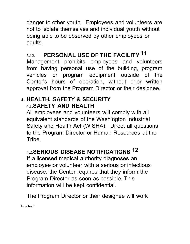danger to other youth. Employees and volunteers are not to isolate themselves and individual youth without being able to be observed by other employees or adults.

# **3.12. PERSONAL USE OF THE FACILITY11**

Management prohibits employees and volunteers from having personal use of the building, program vehicles or program equipment outside of the Center's hours of operation, without prior written approval from the Program Director or their designee.

### **4. HEALTH, SAFETY & SECURITY 4.1.SAFETY AND HEALTH**

All employees and volunteers will comply with all equivalent standards of the Washington Industrial Safety and Health Act (WISHA). Direct all questions to the Program Director or Human Resources at the Tribe.

# **4.2.SERIOUS DISEASE NOTIFICATIONS 12**

If a licensed medical authority diagnoses an employee or volunteer with a serious or infectious disease, the Center requires that they inform the Program Director as soon as possible. This information will be kept confidential.

The Program Director or their designee will work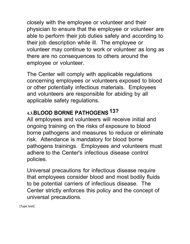closely with the employee or volunteer and their physician to ensure that the employee or volunteer are able to perform their job duties safely and according to their job description while ill. The employee or volunteer may continue to work or volunteer as long as there are no consequences to others around the employee or volunteer.

The Center will comply with applicable regulations concerning employees or volunteers exposed to blood or other potentially infectious materials. Employees and volunteers are responsible for abiding by all applicable safety regulations.

# **4.3.BLOOD BORNE PATHOGENS 13?**

All employees and volunteers will receive initial and ongoing training on the risks of exposure to blood borne pathogens and measures to reduce or eliminate risk. Attendance is mandatory for blood borne pathogens trainings. Employees and volunteers must adhere to the Center's infectious disease control policies.

Universal precautions for infectious disease require that employees consider blood and most bodily fluids to be potential carriers of infectious disease. The Center strictly enforces this policy and the concept of universal precautions.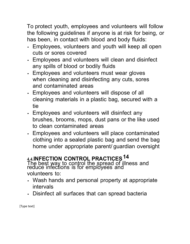To protect youth, employees and volunteers will follow the following guidelines if anyone is at risk for being, or has been, in contact with blood and body fluids:

- Employees, volunteers and youth will keep all open cuts or sores covered
- Employees and volunteers will clean and disinfect any spills of blood or bodily fluids
- Employees and volunteers must wear gloves when cleaning and disinfecting any cuts, sores and contaminated areas
- Employees and volunteers will dispose of all cleaning materials in a plastic bag, secured with a tie
- Employees and volunteers will disinfect any brushes, brooms, mops, dust pans or the like used to clean contaminated areas
- Employees and volunteers will place contaminated clothing into a sealed plastic bag and send the bag home under appropriate parent/ guardian oversight

# **4.4.INFECTION CONTROL PRACTICES14**

The best way to control the spread of illness and reduce infections is for employees and volunteers to:

- Wash hands and personal property at appropriate intervals
- Disinfect all surfaces that can spread bacteria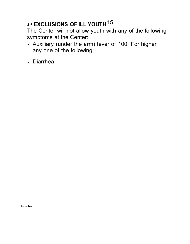# **4.5.EXCLUSIONS OF ILL YOUTH 15**

The Center will not allow youth with any of the following symptoms at the Center:

- Auxiliary (under the arm) fever of 100° For higher any one of the following:
- Diarrhea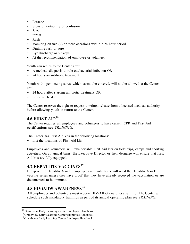- Earache
- Signs of irritability or confusion
- Sore
- throat
- Rash
- Vomiting on two (2) or more occasions within a 24-hour period
- Draining rash or sore
- Eye discharge or pinkeye
- At the recommendation of employee or volunteer

Youth can return to the Center after:

- A medical diagnosis to rule out bacterial infection OR
- 24 hours on antibiotic treatment

Youth with open oozing sores, which carmot be covered, will not be allowed at the Center until:

- 24 hours after starting antibiotic treatment OR
- Sores are healed

The Center reserves the right to request a written release from a licensed medical authority before allowing youth to return to the Center.

#### **4.6.FIRST** AID<sup>16</sup>

The Center requires all employees and volunteers to have current CPR and First Aid certifications see *TRAINING.*

The Center has First Aid kits in the following locations:

• List the locations of First Aid kits

Employees and volunteers will take portable First Aid kits on field trips, camps aud sporting activities. On au annual basis, the Executive Director or their designee will ensure that First Aid kits are fully equipped.

#### **4.7.HEPATITIS VACCINES<sup>17</sup>**

If exposed to Hepatitis A or B, employees and vohmteers will need the Hepatitis A or B vaccine series unless they have proof that they have already received the vaccination or are documented to be immune.

#### **4.8.HIV***I***AIDS AWARENESS<sup>18</sup>**

All employees and volunteers must receive HIV*I*AIDS awareness training. The Center will schedule such mandatory trainings as part of its annual operating plan see *TRAINING.*

<sup>&</sup>lt;sup>16</sup> Grandview Early Learning Center Employee Handbook <sup>17</sup> Grandview Early Learning Center Employee Handbook <sup>18</sup> Grandview Early Learning Center Employee Handbook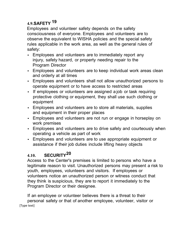### **4.9.SAFETY 19**

Employees and volunteer safety depends on the safety consciousness of everyone. Employees and volunteers are to observe the equivalent to WISHA policies and the special safety rules applicable in the work area, as well as the general rules of safety:

- Employees and volunteers are to immediately report any injury, safety hazard, or property needing repair to the Program Director
- Employees and volunteers are to keep individual work areas clean and orderly at all times
- Employees and volunteers shall not allow unauthorized persons to operate equipment or to have access to restricted areas
- If employees or volunteers are assigned a job or task requiring protective clothing or equipment, they shall use such clothing or equipment
- Employees and volunteers are to store all materials, supplies and equipment in their proper places
- Employees and volunteers are not run or engage in horseplay on work premises
- Employees and volunteers are to drive safely and courteously when operating a vehicle as part of work
- Employees and volunteers are to use appropriate equipment or assistance if their job duties include lifting heavy objects

### **4.10. SECURITY<sup>20</sup>**

Access to the Center's premises is limited to persons who have a legitimate reason to visit. Unauthorized persons may present a risk to youth, employees, volunteers and visitors. If employees or volunteers notice an unauthorized person or witness conduct that they think is suspicious, they are to report it immediately to the Program Director or their designee.

[Type text] If an employee or volunteer believes there is a threat to their personal safety or that of another employee, volunteer, visitor or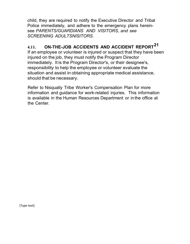child, they are required to notify the Executive Director and Tribal Police immediately, and adhere to the emergency plans hereinsee *PARENTS/GUARDIANS AND VISITORS, and see SCREENING ADULTSNISITORS.*

### **4.11. ON-THE-JOB ACCIDENTS AND ACCIDENT REPORT<sup>21</sup>**

If an employee or volunteer is injured or suspect that they have been injured on the job, they must notify the Program Director immediately. It is the Program Director's, or their designee's, responsibility to help the employee or volunteer evaluate the situation and assist in obtaining appropriate medical assistance, should that be necessary.

Refer to Nisqually Tribe Worker's Compensation Plan for more information and guidance for work-related injuries. This information is available in the Human Resources Department or in the office at the Center.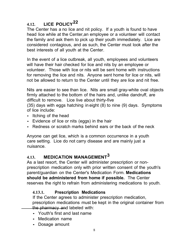### **4.12. LICE POLICY<sup>22</sup>**

The Center has a no lice and nit policy. If a youth is found to have head lice while at the Center,an employee or a volunteer will contact the family and ask them to pick up their youth immediately. Lice are considered contagious, and as such, the Center must look after the best interests of all youth at the Center.

In the event of a lice outbreak, all youth, employees and volunteers will have their hair checked for lice and nits by an employee or volunteer. Those with lice or nits will be sent home with instructions for removing the lice and nits. Anyone sent home for lice or nits, will not be allowed to return to the Center until they are lice and nit free.

Nits are easier to see than lice. Nits are small gray-white oval objects firmly attached to the bottom of the hairs and, unlike dandruff, are difficult to remove. Lice live about thirty-five

(35) days with eggs hatching in eight (8) to nine (9) days. Symptoms of lice include:

- Itching of the head
- Evidence of lice or nits (eggs) in the hair
- Redness or scratch marks behind ears or the back of the neck

Anyone can get lice, which is a common occurrence in a youth care setting. Lice do not carry disease and are mainly just a nuisance.

### **4.13. MEDICATION MANAGEMENT<sup>3</sup>**

As a last resort, the Center will administer prescription or nonprescription medication only with prior written consent of the youth's parent/guardian on the Center's Medication Form. **Medications should be administered from home if possible.** The Center reserves the right to refrain from administering medications to youth.

### **4.13.1. Prescription Medications**

If the Center agrees to administer prescription medication, prescription medications must be kept in the original container from the pharmacy and labeled with:

- Youth's first and last name
- Medication name
- Dosage amount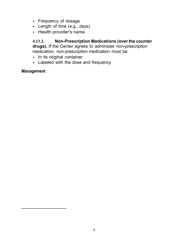- Frequency of dosage
- Length of time (e.g., days)
- Health provider's name

**4.13.2. Non-Prescription Medications (over the counter drugs).** If the Center agrees to administer non-prescription medication, non-prescription medication must be:

- In its original container
- Labeled with the dose and frequency

#### **Management**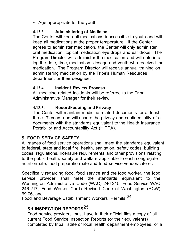• Age appropriate for the youth

### **4.13.3. Administering of Medicine**

The Center will keep all medications inaccessible to youth and will keep all medications at the proper temperature. If the Center agrees to administer medication, the Center will only administer oral medication, topical medication eye drops and ear drops. The Program Director will administer the medication and will note in a log the date, time, medication, dosage and youth who received the medication. The Program Director will receive annual training on administering medication by the Tribe's Human Resources department or their designee.

#### **4.13.4. Incident Review Process**

All medicine related incidents will be referred to the Tribal Administrative Manager for their review.

#### **4.13.5. Recordkeeping andPrivacy**

The Center will maintain medicine-related documents for at least three (3) years and will ensure the privacy and confidentiality of all documents with the standards equivalent to the Health Insurance Portability and Accountability Act (HIPPA).

### **5. FOOD SERVICE SAFETY**

All stages of food service operations shall meet the standards equivalent to federal, state and local fire, health, sanitation, safety codes, building codes, regulations, licensure requirements and other provisions relating to the public health, safety and welfare applicable to each congregate nutrition site, food preparation site and food service vendor/caterer.

Specifically regarding food, food service and the food worker, the food service provider shall meet the standards equivalent to the Washington Administrative Code (WAC) 246-215, Food Service WAC 246-217, Food Worker Cards Revised Code of Washington (RCW) 69.06, and

Food and Beverage Establishment Workers' Permits. 24

### **5.1 INSPECTION REPORTS25**

Food service providers must have in their official files a copy of all current Food Service Inspection Reports (or their equivalents) completed by tribal, state or local health department employees, or a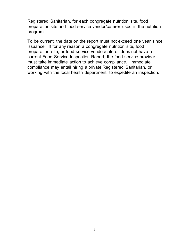Registered Sanitarian, for each congregate nutrition site, food preparation site and food service vendor/caterer used in the nutrition program.

To be current, the date on the report must not exceed one year since issuance. If for any reason a congregate nutrition site, food preparation site, or food service vendor/caterer does not have a current Food Service Inspection Report, the food service provider must take immediate action to achieve compliance. Immediate compliance may entail hiring a private Registered Sanitarian, or working with the local health department, to expedite an inspection.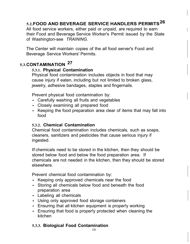### **5.2.FOOD AND BEVERAGE SERVICE HANDLERS PERMITS26**

All food service workers, either paid or unpaid, are required to earn their Food and Beverage Service Worker's Permit issued by the State of Washington-see *TRAINING.*

The Center will maintain copies of the all food server's Food and Beverage Service Workers' Permits.

### **5.3.CONTAMINATION 27**

#### **5.3.1. Physical Contamination**

Physical food contamination includes objects in food that may cause injury if eaten, including but not limited to broken glass, jewelry, adhesive bandages, staples and fingernails.

Prevent physical food contamination by:

- Carefully washing all fruits and vegetables
- Closely examining all prepared food
- Keeping the food preparation area clear of items that may fall into food

#### **5.3.2. Chemical Contamination**

Chemical food contamination includes chemicals, such as soaps, cleaners, sanitizers and pesticides that cause serious injury if ingested.

If chemicals need to be stored in the kitchen, then they should be stored below food and below the food preparation area. If chemicals are not needed in the kitchen, then they should be stored elsewhere.

Prevent chemical food contamination by:

- Keeping only approved chemicals near the food
- Storing all chemicals below food and beneath the food preparation area
- Labeling all chemicals
- Using only approved food storage containers
- Ensuring that all kitchen equipment is proper!y working
- Ensuring that food is proper!y protected when cleaning the kitchen

#### **5.3.3. Biological Food Contamination**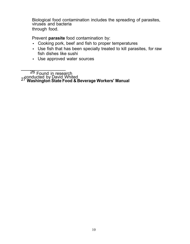Biological food contamination includes the spreading of parasites, viruses and bacteria through food.

Prevent **parasite** food contamination by:

- Cooking pork, beef and fish to proper temperatures
- Use fish that has been specially treated to kill parasites, for raw fish dishes like sushi
- Use approved water sources

<sup>26</sup> Found in research

conducted by David Whited <sup>27</sup> **Washington State Food & Beverage Workers' Manual**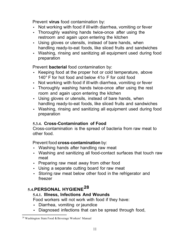Prevent **virus** food contamination by:

- Not working with food if illwith diarrhea, vomiting or fever
- Thoroughly washing hands twice-once after using the restroom and again upon entering the kitchen
- Using gloves or utensils, instead of bare hands, when handling ready-to-eat foods, like sliced fruits and sandwiches
- Washing, rinsing and sanitizing all equipment used during food preparation

Prevent **bacterial** food contamination by:

- Keeping food at the proper hot or cold temperature, above 140° F for hot food and below 41o F for cold food
- Not working with food if ill with diarrhea, vomiting or fever
- Thoroughly washing hands twice-once after using the rest room and again upon entering the kitchen
- Using gloves or utensils, instead of bare hands, when handling ready-to-eat foods, like sliced fruits and sandwiches
- Washing, rinsing and sanitizing all equipment used during food preparation

### **5.3.4. Cross-Contamination of Food**

Cross-contamination is the spread of bacteria from raw meat to other food.

#### Prevent food **cross-contamination** by:

- Washing hands after handling raw meat
- Washing and sanitizing all food-contact surfaces that touch raw meat
- Preparing raw meat away from other food
- Using a separate cutting board for raw meat
- Storing raw meat below other food in the refrigerator and freezer

### **5.4.PERSONAL HYGIENE28**

### **5.4.1. Illness, Infections And Wounds**

Food workers will not work with food if they have:

- Diarrhea, vomiting or jaundice
- Diagnosed infections that can be spread through food,

<sup>28</sup> Washington State Food & Beverage Workers' Manual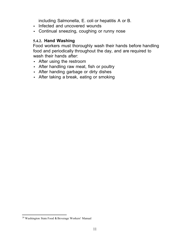including Salmonella, E. coli or hepatitis A or B.

- Infected and uncovered wounds
- Continual sneezing, coughing or runny nose

#### **5.4.2. Hand Washing**

Food workers must thoroughly wash their hands before handling food and periodically throughout the day, and are required to wash their hands after:

- After using the restroom
- After handling raw meat, fish or poultry
- After handing garbage or dirty dishes
- After taking a break, eating or smoking

<sup>28</sup> Washington State Food & Beverage Workers' Manual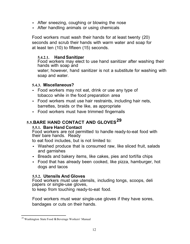- After sneezing, coughing or blowing the nose
- After handling animals or using chemicals

Food workers must wash their hands for at least twenty (20) seconds and scrub their hands with warm water and soap for at least ten (10) to fifteen (15) seconds.

#### **5.4.2.1. Hand Sanitizer**

Food workers may elect to use hand sanitizer after washing their hands with soap and

water; however, hand sanitizer is not a substitute for washing with soap and water.

#### **5.4.3. Miscellaneous?**

- Food workers may not eat, drink or use any type of tobacco while in the food preparation area
- Food workers must use hair restraints, including hair nets, barrettes, braids or the like, as appropriate
- Food workers must have trimmed fingernails

### **5.5.BARE HAND CONTACT AND GLOVES<sup>29</sup>**

#### **5.5.1. Bare Hand Contact**

Food workers are not permitted to handle ready-to-eat food with their bare hands. Ready

to eat food includes, but is not limited to:

- Washed produce that is consumed raw, like sliced fruit, salads and garnishes
- Breads and bakery items, like cakes, pies and torti!la chips
- Food that has already been cooked, like pizza, hamburger, hot dogs and tacos

#### **5.5.2. Utensils And Gloves**

Food workers must use utensils, including tongs, scoops, deli papers or single-use gloves,

to keep from touching ready-to-eat food.

Food workers must wear single-use gloves if they have sores, bandages or cuts on their hands.

<sup>&</sup>lt;sup>29</sup> Washington State Food & Beverage Workers' Manual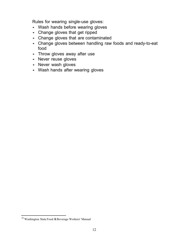Rules for wearing single-use gloves:

- Wash hands before wearing gloves
- Change gloves that get ripped
- Change gloves that are contaminated
- Change gloves between handling raw foods and ready-to-eat food
- Throw gloves away after use
- Never reuse gloves
- Never wash gloves
- Wash hands after wearing gloves

<sup>29</sup> Washington State Food & Beverage Workers' Manual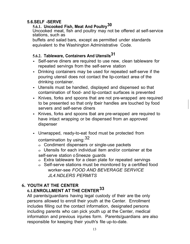#### **5.6.SELF -SERVE**

### **5.6.1. Uncooked Fish, Meat And Poultry<sup>30</sup>**

Uncooked meat, fish and poultry may not be offered at self-service stations, such as

buffets and salad bars, except as permitted under standards equivalent to the Washington Administrative Code.

### **5.6.2. Tableware, Containers And Utensils<sup>31</sup>**

- Self-serve diners are required to use new, clean tableware for repeated servings from the self-serve station
- Drinking containers may be used for repeated self-serve if the pouring utensil does not contact the lip-contact area of the drinking container.
- Utensils must be handled, displayed and dispensed so that contamination of food- and lip-contact surfaces is prevented
- Knives, forks and spoons that are not pre-wrapped are required to be presented so that only tbeir handles are touched by food servers and self-serve diners
- Knives, forks and spoons tbat are pre-wrapped are required to have intact wrapping or be dispensed from an approved dispenser
- Unwrapped, ready-to-eat food must be protected from contamination by using: 32
	- o Condiment dispensers or single-use packets
	- o Utensils for each individual item and/or container at tbe self-serve station o Sneeze quards
	- o Extra tableware for a clean plate for repeated servings
	- o Self-serve stations must be monitored by a certified food worker-see *FOOD AND BEVERAGE SERVICE JL4.NDLERS PERMITS*

### **6. YOUTH AT THE CENTER**

### **6.1.ENROLLMENT AT THE CENTER<sup>33</sup>**

All parents/guardians having legal custody of their are tbe only persons allowed to enroll their youth at the Center. Enrollment includes filling out the contact information, designated persons including parents who can pick youth up at the Center, medical information and previous injuries form. Parents/guardians are also responsible for keeping their youth's file up-to-date.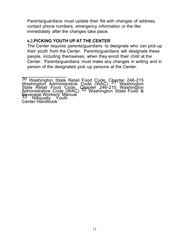Parents/guardians must update their file with changes of address, contact phone numbers, emergency information or the like immediately after the changes take place.

#### **6.2.PICKING YOUTH UP AT THE CENTER**

The Center requires parents/guardians to designate who can pick-up their youth from the Center. Parents/guardians will designate these people, including themselves, when they enroll their child at the Center. Parents/guardians must make any changes in writing and in person of the designated pick -up persons at the Center.

30 Washington State Retail Food Code, Chapter 246-215 Washington Administrative Code (WAC) 31 Washington<br>State Retail Food Code, Chapter 246-215 Washington<br>Administrative Code (WAC) <sup>32</sup> Washington State Food & Beverage Workers' Mànual<br><sup>33</sup> Nisqually Youth Center Handbook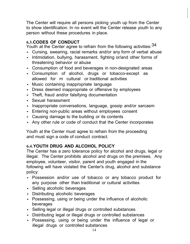The Center will require all persons picking youth up from the Center to show identification. In no event will the Center release youth to any person without these procedures in place.

### <span id="page-31-0"></span>**6.3.CODES OF CONDUCT**

Youth at the Center agree to refrain from the following activities: 34

- Cursing, swearing, racial remarks and/or any form of verbal abuse
- Intimidation, bullying, harassment, fighting or/and other forms of threatening behavior or abuse
- Consumption of food and beverages in non-designated areas
- Consumption of alcohol, drugs or tobacco-except as allowed for m cultural or traditional activities
- Music containing inappropriate language
- Dress deemed inappropriate or offensive by employees
- Theft, fraud and/or falsifying documentation
- Sexual harassment
- Inappropriate conversations, language, gossip and/or sarcasm
- Entering non-public areas without employees consent
- Causing damage to the building or its contents
- Any other rule or code of conduct that the Center incorporates

Youth at the Center must agree to refrain from the proceeding and must sign a code of conduct contract.

### <span id="page-31-1"></span>**6.4.YOUTH DRUG AND ALCOHOL POLICY**

The Center has a zero tolerance policy for alcohol and drugs, legal or illegal. The Center prohibits alcohol and drugs on the premises. Any employee, volunteer, visitor, parent and youth engaged in the following will have violated the Center's drug, alcohol and substance policy:

- Possession and/or use of tobacco or any tobacco product for any purpose other than traditional or cultural activities
- Selling alcoholic beverages
- Distributing alcoholic beverages
- Possessing, using or being under the influence of alcoholic beverages
- Selling legal or illegal drugs or controlled substances
- Distributing legal or illegal drugs or controlled substances
- Possessing, using or being under the influence of legal or illegal drugs or controlled substances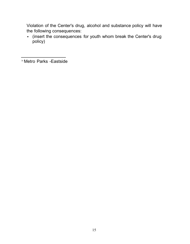Violation of the Center's drug, alcohol and substance policy will have the following consequences:

• (insert the consequences for youth whom break the Center's drug policy)

**34 Metro Parks - Eastside**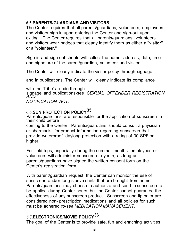### <span id="page-33-0"></span>**6.5.PARENTS/GUARDIANS AND VISITORS**

The Center requires that all parents/guardians, volunteers, employees and visitors sign in upon entering the Center and sign-out upon exiting. The Center requires that all parents/guardians, volunteers and visitors wear badges that clearly identify them as either a **"visitor" or a "volunteer."**

Sign in and sign out sheets will collect the name, address, date, time and signature of the parent/guardian, volunteer and visitor.

The Center will clearly indicate the visitor policy through signage

and in publications. The Center will clearly indicate its compliance

with the Tribe's code through signage and publications-see *SEXUAL OFFENDER REGISTRATION AND NOTIFICATION ACT.*

### **6.6.SUN PROTECTION POLICY<sup>35</sup>**

Parents/guardians are responsible for the application of sunscreen to their child before

coming to the Center. Parents/guardians should consult a physician or pharmacist for product information regarding sunscreen that provide waterproof, daylong protection with a rating of 30 SPF or higher.

For field trips, especially during the summer months, employees or volunteers will administer sunscreen to youth, as long as parents/guardians have signed the written consent form on the Center's registration form.

With parent/guardian request, the Center can monitor the use of sunscreen and/or long sleeve shirts that are brought from home. Parents/guardians may choose to authorize and send in sunscreen to be applied during Center hours, but the Center cannot guarantee the effectiveness of any sunscreen product. Sunscreen and lip balm are considered non- prescription medications and all policies for such must be adhered *to-see MEDICATION MANAGEMENT.*

### **6.7.ELECTRONICS/MOVIE POLICY<sup>36</sup>**

The goal of the Center is to provide safe, fun and enriching activities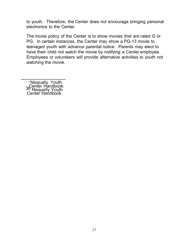to youth. Therefore, the Center does not encourage bringing personal electronics to the Center.

The movie policy of the Center is to show movies that are rated G or PG. In certain instances, the Center may show a PG-13 movie to teenaged youth with advance parental notice. Parents may elect to have their child not watch the movie by notifying a Center employee. Employees or volunteers will provide alternative activities to youth not watching the movie.

<sup>35</sup> Nisqually Youth 36 Nisqua!ly Youth<br>36 Nisqua!ly Youth Center Handbook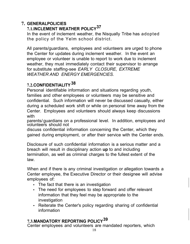### <span id="page-35-0"></span>**7. GENERALPOLICIES**

### **7.1.INCLEMENT WEATHER POLICY<sup>37</sup>**

In the event of inclement weather, the Nisqually Tribe has adopted the policy of the Yelm school district.

All parents/guardians, employees and volunteers are urged to phone the Center for updates during inclement weather. In the event an employee or volunteer is unable to report to work due to inclement weather, they must immediately contact their supervisor to arrange for substitute staffing-see *EARLY CLOSURE, EXTREME WEATHER AND ENERGY EMERGENCIES.*

### **7.2.CONFIDENTIALITY<sup>38</sup>**

Personal identifiable information and situations regarding youth, families and other employees or volunteers may be sensitive and confidential. Such information will never be discussed casually, either during a scheduled work shift or while on personal time away from the Center. Employees and volunteers should always keep discussions with

parents/ guardians on a professional level. In addition, employees and volunteers should not

discuss confidential information concerning the Center, which they gained during employment, or after their service with the Center ends.

Disclosure of such confidential information is a serious matter and a breach will result in disciplinary action **up** to and including termination, as well as criminal charges to the fullest extent of the law.

When and if there is any criminal investigation or allegation towards a Center employee, the Executive Director or their designee will advise employees of:

- The fact that there is an investigation
- The need for employees to step forward and offer relevant information that they feel may be appropriate to the investigation
- Reiterate the Center's policy regarding sharing of confidential information

### **7.3.MANDATORY REPORTING POLICY<sup>39</sup>**

Center employees and volunteers are mandated reporters, which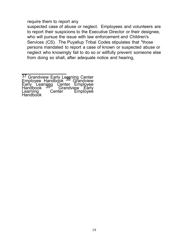require them to report any

suspected case of abuse or neglect. Employees and volunteers are to report their suspicions to the Executive Director or their designee, who will pursue the issue with law enforcement and Children's Services (CS). The Puyallup Tribal Codes stipulates that "those persons mandated to report a case of known or suspected abuse or neglect who knowingly fail to do so or willfully prevent someone else from doing so shall, after adequate notice and hearing,

<sup>&</sup>lt;sup>37</sup> Grandview Early Leagning Center Employee Handbook <sup>38</sup> Grandview Early Learning Center Employee<br>Handbook <sup>3</sup>9 Grandview Early<br>Learning Center Employee<br>Handbook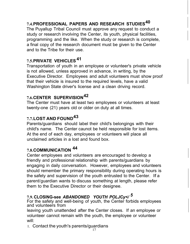# **7.4.PROFESSIONAL PAPERS AND RESEARCH STUDIES<sup>40</sup>**

The Puyallup Tribal Council must approve any request to conduct a study or research involving the Center, its youth, physical facilities, programming and the like. When the study or research is complete, a final copy of the research document must be given to the Center and to the Tribe for their use.

# **7.5.PRIVATE VEHICLES<sup>41</sup>**

Transportation of youth in an employee or volunteer's private vehicle is not allowed, unless approved in advance, in writing, by the Executive Director. Employees and adult volunteers must show proof that their vehicle is insured to the required levels, have a valid Washington State driver's license and a clean driving record.

# **7.6.CENTER SUPERVISION<sup>42</sup>**

The Center must have at least two employees or volunteers at least twenty-one (21) years old or older on duty at all times.

# **7.7.LOST AND FOUND<sup>43</sup>**

Parents/guardians should label their child's belongings with their child's name. The Center caunot be held responsible for lost items. At the end of each day, employees or volunteers will place all unclaimed articles in a lost and found box.

# **7.8.COMMUNICATION <sup>44</sup>**

Center employees and volunteers are encouraged to develop a friendly and professional relationship with parents/guardians by engaging in daily conversation. However, employees and volunteers should remember the primary responsibility during operating hours is the safety and supervision of the youth entrusted to the Center. If a parent/guardian wants to discuss something at length, please refer them to the Executive Director or their designee.

# **7.9. CLOSING-see** *ABANDONED YOUTH POLJCy</ <sup>5</sup>*

For the safety and well-being of youth, the Center forbids employees and volunteers from

leaving youth unattended after the Center closes. If an employee or volunteer cannot remain with the youth, the employee or volunteer will:

1. Contact the youth's parents/guardians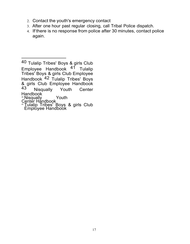- 2. Contact the youth's emergency contact
- 3. After one hour past regular closing, call Tribal Police dispatch.
- 4. If there is no response from police after 30 minutes, contact police again.

40 Tulalip Tribes' Boys & girls Club Employee Handbook 41 Tulalip Tribes' Boys & girls Club Employee Handbook 42 Tulalip Tribes' Boys & girls Club Employee Handbook 43 Nisqually Youth Center Handbook <sup>44</sup> Nisqually ... Youth Center Hándbook<br>" Tulalip Tribes' Boys & girls Club Employee Handbook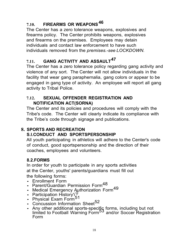# **7.10. FIREARMS OR WEAPONS<sup>46</sup>**

The Center has a zero tolerance weapons, explosives and firearms policy. The Center prohibits weapons, explosives and firearms on the premises. Employees may detain individuals and contact law enforcement to have such individuals removed from the *premises.-see LOCKDOWN.*

# **7.11. GANG ACTIVITY AND ASSAULT<sup>47</sup>**

The Center has a zero tolerance policy regarding gang activity and violence of any sort. The Center will not allow individuals in the facility that wear gang paraphernalia, gang colors or appear to be engaged in gang type of activity. An employee will report all gang activity to Tribal Police.

### **7.12. SEXUAL OFFENDER REGISTRATION AND NOTIFICATION ACT(SORNA)**

The Center and its policies and procedures will comply with the Tribe's code. The Center will clearly indicate its compliance with the Tribe's code through signage and publications.

# **8. SPORTS AND RECREATION**

# **S.l.CONDUCT AND SPORTSPERSONSHIP**

All youth participating in athletics will adhere to the Center's code of conduct, good sportspersonship and the direction of their coaches, employees and volunteers.

# **8.2.FORMS**

In order for youth to participate in any sports activities at the Center, youths' parents/guardians must fill out the following forms:

- Enrollment Form
- Parent/Guardian Permission Form<sup>48</sup>
- Medical Emergency Authorization Form<sup>49</sup>
- Participation History'i $\frac{0}{5}$
- Physical Exam Form<sup>51</sup>
- Concussion Information Sheet<sup>52</sup>
- Any other additional sports-specifig forms, including but not half can additional sports spooled forms, including but not increase that the limited to Football Warning Form<sup>53</sup> and/or Soccer Registration Form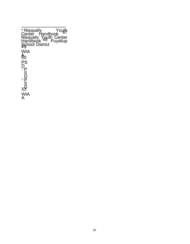| Sehool District | <sup>46</sup> Nisqually<br>Center Handbook<br>Nisqually Youth Center<br>Handbook |
|-----------------|----------------------------------------------------------------------------------|
| WIA             |                                                                                  |
| $\frac{1}{50}$  |                                                                                  |
| PS              |                                                                                  |
| $D_{51}P$       |                                                                                  |
|                 |                                                                                  |
|                 |                                                                                  |
| း<br>55<br>55   |                                                                                  |
| WIA             |                                                                                  |
|                 |                                                                                  |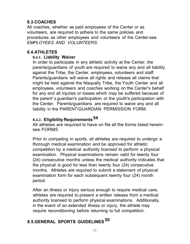# **8.3.COACHES**

All coaches, whether as paid employees of the Center or as volunteers, are required to adhere to the same policies and procedures as other employees and volunteers of the Center-see *EMPLOYEES AND VOLUNTEERS.*

#### **8.4.ATHLETES**

#### **8.4.1. Liability Waiver**

In order to participate in any athletic activity at the Center, the parents/guardians of youth are required to waive any and all liability against the Tribe, the Center, employees, volunteers and staff. Parents/guardians will waive all rights and release all claims that might be held against the Nisqually Tribe, the Youth Center and all employees, volunteers and coaches working on the Center's behalf for any and all injuries or losses which may be suffered because of the parent' s guardian's participation or the youth's participation with the Center. Parents/guardians are required to waive any and all liability in the PARENT/GUARDIAN PERMISSION FORM.

# **8.4.2. Eligibility Requirements54**

All athletes are required to have on file all the forms listed hereinsee *FORMS.*

Prior to competing in sports, all athletes are required to undergo a thorough medical examination and be approved for athletic competition by a medical authority licensed to perform a physical examination. Physical examinations remain valid for twenty four (24) consecutive months unless the medical authority indicates that the physical is good for less than twenty four (24) consecutive months. Athletes are required to submit a statement of physical examination form for each subsequent twenty four (24) month period.

After an illness or injury serious enough to require medical care, athletes are required to present a written release from a medical authority licensed to perform physical examinations. Additionally, in the event of an extended illness or injury, the athlete may require reconditioning before returning to full competition.

# **8.5.GENERAL SPORTS GUIDELINES<sup>55</sup>**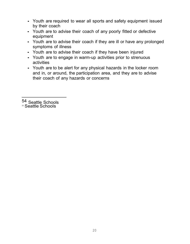- Youth are required to wear all sports and safety equipment issued by their coach
- Youth are to advise their coach of any poorly fitted or defective equipment
- Youth are to advise their coach if they are ill or have any prolonged symptoms of illness
- Youth are to advise their coach if they have been injured
- Youth are to engage in warm-up activities prior to strenuous activities
- Youth are to be alert for any physical hazards in the locker room and in, or around, the participation area, and they are to advise their coach of any hazards or concerns

54 Seattle Schools<br>
<sup>55</sup> Seattle Schools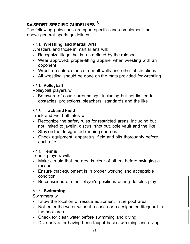# <sup>5</sup> **8.6.SPORT-SPECIFIC GUIDELINES** <sup>6</sup>

The following guidelines are sport-specific and complement the above general sports guidelines.

#### **8.6.1. Wrestling and Martial Arts**

Wrestlers and those in martial arts will:

- Recognize illegal holds, as defined by the rulebook
- Wear approved, proper-fitting apparel when wresting with an opponent
- Wrestle a safe distance from all walls and other obstructions
- All wrestling should be done on the mats provided for wrestling

#### **8.6.2. Volleyball**

Volleyball players will:

• Be aware of court surroundings, including but not limited to obstacles, projections, bleachers, standards and the like

#### **8.6.3. Track and Field**

Track and Field athletes will:

- Recognize the safety rules for restricted areas, including but not limited to javelin, discus, shot put, pole vault and the like
- Stay on the designated running courses
- Check equipment, apparatus, field and pits thorough!y before each use

#### **8.6.4. Tennis**

Tennis players will:

- Make certain that the area is clear of others before swinging a racquet
- Ensure that equipment is in proper working and acceptable condition
- Be conscious of other player's positions during doubles play

#### **8.6.5. Swimming**

Swimmers will:

- Know the location of rescue equipment in the pool area
- Not enter the water without a coach or a designated lifeguard in the pool area
- Check for clear water before swimming and diving
- Dive only after having been taught basic swimming and diving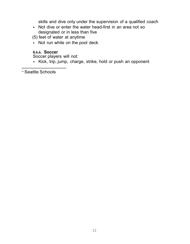skills and dive only under the supervision of a qualified coach

- Not dive or enter the water head-first in an area not so designated or in less than five
- (5) feet of water at anytime
- Not run while on the pool deck

#### **8.6.6. Soccer**

Soccer players will not:

• Kick, trip, jump, charge, strike, hold or push an opponent

**56 Seattle Schools**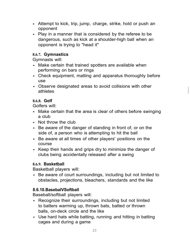- Attempt to kick, trip, jump, charge, strike, hold or push an opponent
- Play in a manner that is considered by the referee to be dangerous, such as kick at a shoulder-high ball when an opponent is trying to "head it"

### **8.6.7. Gymnastics**

Gymnasts will:

- Make certain that trained spotters are available when performing on bars or rings
- Check equipment, matting and apparatus thoroughly before use
- Observe designated areas to avoid collisions with other athletes

#### **8.6.8. Golf**

Golfers will:

- Make certain that the area is clear of others before swinging a club
- Not throw the club
- Be aware of the danger of standing in front of, or on the side of, a person who is attempting to hit the ball
- Be aware at all times of other players' positions on the course
- Keep their hands and grips dry to minimize the danger of clubs being accidentally released after a swing

### **8.6.9. Basketball**

Basketball players will:

• Be aware of court surroundings, including but not limited to obstacles, projections, bleachers, standards and the like

### **8.6.10.BasebalVSoftball**

Baseball/softball players will:

- Recognize their surroundings, including but not limited to batters warming up, thrown bats, batted or thrown balls, on-deck circle and the like
- Use hard hats while batting, running and hitting in batting cages and during a game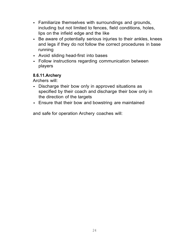- Familiarize themselves with surroundings and grounds, including but not limited to fences, field conditions, holes, lips on the infield edge and the like
- Be aware of potentially serious injuries to their ankles, knees and legs if they do not follow the correct procedures in base running
- Avoid sliding head-first into bases
- Follow instructions regarding communication between players

#### **8.6.11.Archery**

Archers will:

- Discharge their bow on!y in approved situations as specified by their coach and discharge their bow only in the direction of the targets
- Ensure that their bow and bowstring are maintained

and safe for operation Archery coaches will: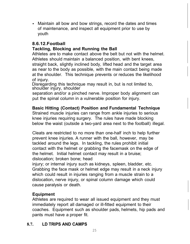• Maintain all bow and bow strings, record the dates and times of maintenance, and inspect all equipment prior to use by youth

# **8.6.12.Football**

# **Tackling, Blocking and Running the Ball**

Athletes are to make contact above the belt but not with the helmet. Athletes should maintain a balanced position, with bent knees, straight back, slightly inclined body, lifted head and the target area as near to the body as possible, with the main contact being made at the shoulder. This technique prevents or reduces the likelihood of injury.

Disregarding this technique may result in, but is not limited to, shoulder injury, shoulder

separation and/or a pinched nerve. Improper body alignment can put the spinal column in a vulnerable position for injury.

# **Basic Hitting (Contact) Position and Fundamental Technique**

Strained muscle injuries can range from ankle injuries to serious knee injuries requiring surgery. The rules have made blocking below the waist (outside a two-yard area next to the football) illegal.

Cleats are restricted to no more than one-half inch to help further prevent knee injuries. A runner with the ball, however, may be tackled around the legs. In tackling, the rules prohibit initial contact with the helmet or grabbing the facemask on the edge of the helmet. Initial helmet contact may result in a bruise; dislocation; broken bone; head

injury; or internal injury such as kidneys, spleen, bladder, etc. Grabbing the face mask or helmet edge may result in a neck injury which could result in injuries ranging from a muscle strain to a dislocation, nerve injury, or spinal column damage which could cause paralysis or death.

# **Equipment**

Athletes are required to wear all issued equipment and they must immediately report all damaged or ill-fitted equipment to their coaches. Equipment such as shoulder pads, helmets, hip pads and pants must have a proper fit.

# **8.7. LD TRIPS AND CAMPS**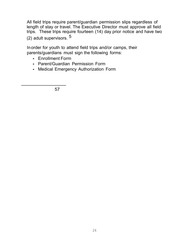All field trips require parent/guardian permission slips regardless of length of stay or travel. The Executive Director must approve all field trips. These trips require fourteen (14) day prior notice and have two (2) adult supervisors. 5

Inorder for youth to attend field trips and/or camps, their parents/guardians must sign the following forms:

- Enrollment Form
- Parent/Guardian Permission Form
- Medical Emergency Authorization Form

57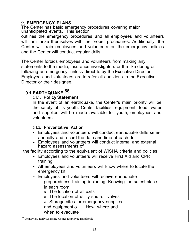#### **9. EMERGENCY PLANS**

The Center has basic emergency procedures covering major unanticipated events. This section

outlines the emergency procedures and all employees and volunteers will familiarize themselves with the proper procedures. Additionally, the Center will train employees and volunteers on the emergency policies and the Center will conduct regular drills.

The Center forbids employees and volunteers from making any statements to the media, insurance investigators or the like during or following an emergency, unless direct to by the Executive Director. Employees and volunteers are to refer all questions to the Executive Director or their designee.

# **9.1.EARTHQUAKE <sup>58</sup>**

#### **9.1.1. Policy Statement**

In the event of an earthquake, the Center's main priority will be the safety of its youth. Center facilities, equipment, food, water and supplies will be made available for youth, employees and volunteers.

#### **9.1.2. Preventative Action**

- Employees and volunteers will conduct earthquake drills semiannually and record the date and time of each drill
- Employees and volunteers will conduct internal and external hazard assessments of

the facility according to the equivalent of WISHA criteria and policies

- Employees and volunteers will receive First Aid and CPR training
- All employees and volunteers will know where to locate the emergency kit
- Employees and volunteers will receive earthquake preparedness training including: Knowing the safest place in each room
	- o The location of all exits
	- o The location of utility shut-off valves
	- o Storage sites for emergency supplies

and equipment o How, where and when to evacuate

<sup>58</sup> Grandview Early Learning Center Employee Handbook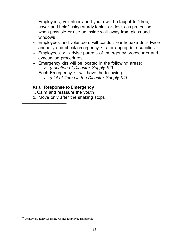- Employees, volunteers and youth will be taught to "drop, cover and hold" using sturdy tables or desks as protection when possible or use an inside wall away from glass and windows
- Employees and volunteers will conduct earthquake drills twice annually and check emergency kits for appropriate supplies
- Employees will advise parents of emergency procedures and evacuation procedures
- Emergency kits will be located in the following areas:
	- o *(Location of Disaster Supply Kit)*
- Each Emergency kit will have the following:
	- o *(List of items in the Disaster Supply Kit)*

#### **9.1.3. Response to Emergency**

- 1. Calm and reassure the youth
- 2. Move on!y after the shaking stops

<sup>58</sup> Grandview Early Learning Center Employee Handbook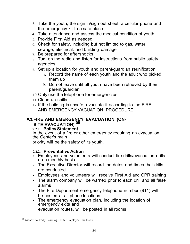- 3. Take the youth, the sign in/sign out sheet, a cellular phone and the emergency kit to a safe place
- 4. Take attendance and assess the medical condition of youth
- 5. Provide First Aid as needed
- 6. Check for safety, including but not limited to gas, water, sewage, electrical, and building damage
- 7. Be prepared for aftershocks
- 8. Tum on the radio and listen for instructions from public safety agencies
- 9. Set up a location for youth and parent/guardian reunification
	- a. Record the name of each youth and the adult who picked them up
	- b. Do not leave until all youth have been retrieved by their parent/guardian
- 10.Only use the telephone for emergencies
- 11.Clean up spills
- 12.If the building is unsafe, evacuate it according to the FIRE AND EMERGENCY VACUATION PROCEDURE

### **9.2.FIRE AND EMERGENCY EVACUATION (ON-SITE EVACUATION) <sup>59</sup>**

#### **9.2.1. Policy Statement**

In the event of a fire or other emergency requiring an evacuation, the Center's main

priority will be the safety of its youth.

- **9.2.2. Preventative Action** Employees and volunteers will conduct fire drills/evacuation drills on a monthly basis
- The Executive Director will record the dates and times that drills are conducted
- Employees and volunteers will receive First Aid and CPR training
- The alarm company will be warned prior to each drill and all false alarms
- The Fire Department emergency telephone number (911) will be posted at all phone locations
- The emergency evacuation plan, including the location of emergency exits and evacuation routes, will be posted in all rooms

<sup>59</sup> Grandview Early Learning Center Employee Handbook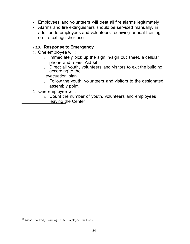- Employees and volunteers will treat all fire alarms legitimately
- Alarms and fire extinguishers should be serviced manually, in addition to employees and volunteers receiving annual training on fire extinguisher use

#### **9.2.3. Response to Emergency**

- 1. One employee will:
	- a. Immediately pick up the sign in/sign out sheet, a cellular phone and a First Aid kit
	- b. Direct all youth, volunteers and visitors to exit the building according to the
	- evacuation plan
	- c. Follow the youth, volunteers and visitors to the designated assembly point
- 2. One employee will:
	- a. Count the number of youth, volunteers and employees leaving the Center

<sup>59</sup> Grandview Early Learning Center Employee Handbook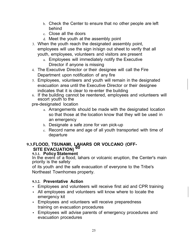- b. Check the Center to ensure that no other people are left behind
- c. Close all the doors
- d. Meet the youth at the assembly point
- 3. When the youth reach the designated assembly point, employees will use the sign in/sign out sheet to verify that all youth, employees, volunteers and visitors are present
	- a. Employees will immediately notify the Executive Director if anyone is missing
- 4. The Executive Director or their designee will call the Fire Department upon notification of any fire
- 5. Employees, volunteers and youth will remain in the designated evacuation area until the Executive Director or their designee indicates that it is clear to re-enter the building
- 6. If the building cannot be reentered, employees and volunteers will escort youth to the

pre-designated location

- a. Arrangements should be made with the designated location so that those at the location know that they will be used in an emergency
- b. Designate a safe zone for van pick-up
- c. Record name and age of all youth transported with time of departure

#### **9.3.FLOOD, TSUNAMI, LAHARS OR VOLCANO (OFF-SITE EVACUATION) 60**

#### **9.3.1. Policy Statement**

In the event of a flood, lahars or volcanic eruption, the Center's main priority is the safety

of its youth and the safe evacuation of everyone to the Tribe's Northeast Townhomes property.

#### **9.3.2. Preventative Action**

- Employees and volunteers will receive first aid and CPR training
- All employees and volunteers will know where to locate the emergency kit
- Employees and volunteers will receive preparedness training on evacuation procedures
- Employees will advise parents of emergency procedures and evacuation procedures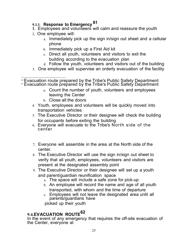# **9.3.3. Response to Emergency <sup>61</sup>**

- l. Employees and volunteers will calm and reassure the youth
- 2. One employee will:
	- a. Immediately pick up the sign in/sign out sheet and a cellular phone
	- b. Immediately pick up a First Aid kit
	- c. Direct all youth, volunteers and visitors to exit the building according to the evacuation plan
	- d. Follow the youth, volunteers and visitors out of the building
- 3. One employee will supervise an orderly evacuation of the facility

© Evacuation route prepared by the Tribe's Public Safety Department<br>© Evacuation route prepared by the Tribe's Public Safety Department

- a. Count the number of youth, volunteers and employees leaving the Center
- b. Close all the doors
- 4. Youth, employees and volunteers will be quickly moved into transportation vehicles
- 5. The Executive Director or their designee will check the building for occupants before exiting the building
- 6. Everyone will evacuate to the Tribe's North side of the center
- 7. Everyone will assemble in the area at the North side of the center.
- 8. The Executive Director will use the sign in/sign out sheet to verify that all youth, employees, volunteers and visitors are present at the designated assembly point
- 9. The Executive Director or their designee will set up a youth and parent/guardian reunification space
	- a. The space will include a safe zone for pick-up
	- b. An employee will record the name and age of all youth transported, with whom and the time of departure
	- c. Employees will not leave the designated area until all parents/guardians have

picked up their youth

# **9.4.EVACUATION ROUTE<sup>62</sup>**

In the event of any emergency that requires the off-site evacuation of the Center, everyone at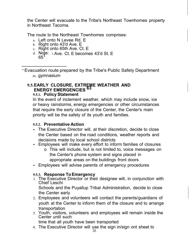the Center will evacuate to the Tribe's Northeast Townhomes property in Northeast Tacoma.

The route to the Northeast Townhomes comprises:

- a. Left onto N Levee Rd. E
- b. Right onto 43'd Ave. E
- c. Right onto 65th Ave. Ct. E
- d. Note: ⊾Ave. Ct. E becomes 43'd St. E<br>65<sup>1</sup>

 $62$  Evacuation route prepared by the Tribe's Public Safety Department m. gymnasium

# **9.5.EARLY CLOSURE, EXTREME WEATHER AND ENERGY EMERGENCIES <sup>63</sup>**

#### **9.5.1. Policy Statement**

In the event of inclement weather, which may include snow, ice or heavy rainstorms, energy emergencies or other circumstances that require the early closure of the Center, the Center's main priority will be the safety of its youth and families.

#### **9.5.2. Preventative Action**

- The Executive Director will, at their discretion, decide to close the Center based on the road conditions, weather reports and decisions made by local school districts
- Employees will make every effort to inform families of closures
	- o This will include, but is not limited to, voice messages on the Center's phone system and signs placed in appropriate areas on the buildings front doors
- Employees will advise parents of emergency procedures

#### **9.5.3. Response ToEmergency**

1. The Executive Director or their designee will, in conjunction with Chief Leschi Schools and the Puyallup Tribal Administration, decide to close

the Center early

- 2. Employees and volunteers will contact the parents/guardians of youth at the Center to inform them of the closure and to arrange transportation
- 3. Youth, visitors, volunteers and employees will remain inside the Center until such

time that all youth have been transported

4. The Executive Director will use the sign in/sign ont sheet to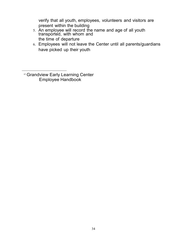verify that all youth, employees, volunteers and visitors are present within the building

- 5. An employee will record the name and age of all youth transported, with whom and the time of departure
- 6. Employees will not leave the Center until all parents/guardians have picked up their youth

63 Grandview Early Learning Center Employee Handbook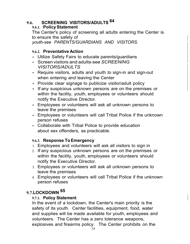# **9.6. SCREENING VISITORS/ADULTS 64**

#### **9.6.1. Policy Statement**

The Center's policy of screening all adults entering the Center is to ensure the safety of

*youth-see PARENTS/GUARDIANS AND VISITORS.*

### **9.6.2. Preventative Action**

- Utilize Safety Fairs to educate parents/guardians
- Screen visitors and adults-see *SCREENING VISITORS/ADULTS*
- Require visitors, adults and youth to sign-in and sign-out when entering and leaving the Center
- Provide clear signage to publicize visitor/adult policy
- If any suspicious unknown persons are on the premises or within the facility, youth, employees or volunteers should notify the Executive Director.
- Employees or volunteers will ask all unknown persons to leave the premises
- Employees or volunteers will call Tribal Police if the unknown person refuses
- Collaborate with Tribal Police to provide education about sex offenders, as practicable.

### **9.6.3. Response To Emergency**

- 1. Employees and volunteers will ask all visitors to sign in
- 2. If any suspicious unknown persons are on the premises or within the facility, youth, employees or volunteers should notify the Executive Director.
- 3. Employees or volunteers will ask all unknown persons to leave the premises
- 4. Employees or volunteers will call Tribal Police if the unknown person refuses

# **9.7.LOCKDOWN <sup>65</sup>**

### **9.7.1. Policy Statement**

In the event of a lockdown, the Center's main priority is the safety of its youth. Center facilities, equipment, food, water and supplies will be made available for youth, employees and volunteers. The Center has a zero tolerance weapons, explosives and firearms policy. The Center prohibits on the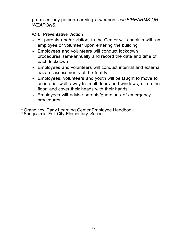premises any person carrying a weapon- *see FIREARMS OR WEAPONS.*

#### **9.7.2. Preventative Action**

- All parents and/or visitors to the Center will check in with an employee or volunteer upon entering the building
- Employees and volunteers will conduct lockdown procedures semi-annually and record the date and time of each lockdown
- Employees and volunteers will conduct internal and external hazard assessments of the facility
- Employees, volunteers and youth will be taught to move to an interior wall, away from all doors and windows, sit on the floor, and cover their heads with their hands
- Employees will advise parents/guardians of emergency procedures

<sup>64</sup> Grandview Early Learning Center Employee Handbook<br><sup>65</sup> Snoqualmie Fall City Elementary School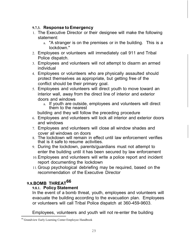#### **9.7.3. Response to Emergency**

- 1. The Executive Director or their designee will make the following statement:
	- a. "A stranger is on the premises or in the building. This is a lockdown."
- 2. Employees or volunteers will immediately call 911 and Tribal Police dispatch.
- 3. Employees and volunteers will not attempt to disarm an armed individual
- 4. Employees or volunteers who are physically assaulted should protect themselves as appropriate, but getting free of the conflict should be their primary goal.
- 5. Employees and volunteers will direct youth to move toward an interior wall, away from the direct line of interior and exterior doors and windows
	- a. If youth are outside, employees and volunteers will direct them to the nearest

building and they will follow the preceding procedure

- 6. Employees and volunteers will lock all interior and exterior doors and windows
- 7. Employees and volunteers will close all window shades and cover all windows on doors
- 8. The lockdown will remain in effect until law enforcement verifies that is it safe to resume activities.
- 9. During the lockdown, parents/guardians must not attempt to enter the building until it has been secured by law enforcement
- 10.Employees and volunteers will write a police report and incident report documenting the lockdown
- 11.Group psychological debriefing may be required, based on the recommendation of the Executive Director

# **9.8.BOMB THREAT<sup>66</sup>**

#### **9.8.1. Policy Statement**

In the event of a bomb threat, youth, employees and volunteers will evacuate the building according to the evacuation plan. Employees or volunteers will call Tribal Police dispatch at 360-459-9603.

Employees, volunteers and youth will not re-enter the building

<sup>&</sup>lt;sup>66</sup> Grandview Early Learning Center Employee Handbook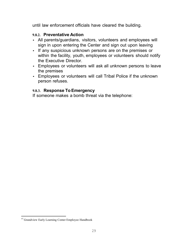until law enforcement officials have cleared the building.

#### **9.8.2. Preventative Action**

- All parents/guardians, visitors, volunteers and employees will sign in upon entering the Center and sign out upon leaving
- If any suspicious unknown persons are on the premises or within the facility, youth, employees or volunteers should notify the Executive Director.
- Employees or volunteers will ask all unknown persons to leave the premises
- Employees or volunteers will call Tribal Police if the unknown person refuses.

### **9.8.3. Response To Emergency**

If someone makes a bomb threat via the telephone:

<sup>67</sup> Grandview Early Learning Center Employee Handbook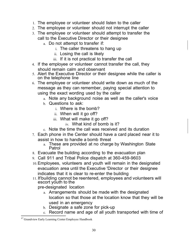- 1. The employee or volunteer should listen to the caller
- 2. The employee or volunteer should not interrupt the caller
- 3. The employee or volunteer should attempt to transfer the call to the Executive Director or their designee
	- a. Do not attempt to transfer if:
		- i. The caller threatens to hang up
		- ii. Losing the call is likely
		- iii. If it is not practical to transfer the call
- 4. If the employee or volunteer cannot transfer the call, they should remain calm and observant
- 5. Alert the Executive Director or their designee while the caller is on the telephone line
- 6. The employee or volunteer should write down as much of the message as they can remember, paying special attention to using the exact wording used by the caller
	- a. Note any background noise as well as the caller's voice
	- b. Questions to ask:
		- i. Where is the bomb?
		- ii. When will it go off?
		- iii. What will make it go off?
			- iv. What kind of bomb is it?
	- c. Note the time the call was received and its duration
- 7. Each phone in the Center should have a card placed near it to assist in how to handle a bomb threat
	- a. These are provided at no charge by Washington State Patrol
- 8. Evacuate the building according to the evacuation plan
- 9. Call 911 and Tribal Police dispatch at 360-459-9603
- 10.Employees, volunteers and youth will remain in the designated evacuation area until the Executive 'Director or their designee indicates that it is clear to re-enter the building
- 11.Ifbuilding cannot be reentered, employees and volunteers will escort youth to the
	- pre-designated location
		- a. Arrangements should be made with the designated location so that those at the location know that they will be used in an emergency
		- b. Designate a safe zone for pick-up
		- c. Record name and age of all youth transported with time of

<sup>67</sup> Grandview Early Learning Center Employee Handbook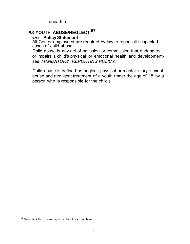departure.

# **9.9.YOUTH ABUSE/NEGLECT <sup>67</sup>**

#### **9.9.1. Policy Statement**

All Center employees are required by law to report all suspected cases of child abuse.

Child abuse is any act of omission or commission that endangers or impairs a child's physical or emotional health and developmentsee *MANDATORY REPORTING POLICY.*

Child abuse is defined as neglect, physical or mental injury, sexual abuse and negligent treatment of a youth tmder the age of 18, by a person who is responsible for the child's

<sup>68</sup> Grandview Early Learning Center Employee Handbook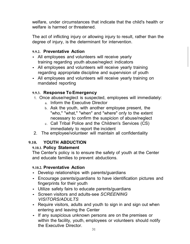welfare, under circumstances that indicate that the child's health or welfare is harmed or threatened.

The act of inflicting injury or allowing injury to result, rather than the degree of injury, is the determinant for intervention.

#### **9.9.2. Preventative Action**

- All employees and volunteers will receive yearly training regarding youth abuse/neglect indicators
- All employees and volunteers will receive yearly training regarding appropriate discipline and supervision of youth
- All employees and volunteers will receive yearly training on mandated reporting

#### **9.9.3. Response ToEmergency**

- 1. Once abuse/neglect is suspected, employees will immediately:
	- a. Inform the Executive Director
	- b. Ask the youth, with another employee present, the "who," "what," "when" and "where" on!y to the extent necessary to confirm the suspicion of abuse/neglect
	- c. Call Tribal Police and the Children's Services (CS) immediately to report the incident
- 2. The employee/volunteer will maintain all confidentiality

### **9.10. YOUTH ABDUCTION**

#### **9.10.1. Policy Statement**

The Center's policy is to ensure the safety of youth at the Center and educate families to prevent abductions.

#### **9.10.2. Preventative Action**

- Develop relationships with parents/guardians
- Encourage parents/guardians to have identification pictures and fingerprints for their youth
- Utilize safety fairs to educate parents/guardians
- Screen visitors and adults-see *SCREENING VISITORS/ADULTS*
- Require visitors, adults and youth to sign in and sign out when entering and leaving the Center
- If any suspicious unknown persons are on the premises or within the facility, youth, employees or volunteers should notify the Executive Director.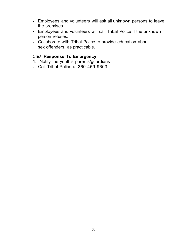- Employees and volunteers will ask all unknown persons to leave the premises
- Employees and volunteers will call Tribal Police if the unknown person refuses.
- Collaborate with Tribal Police to provide education about sex offenders, as practicable.

#### **9.10.3. Response To Emergency**

- 1. Notify the youth's parents/guardians
- 2. Call Tribal Police at 360-459-9603.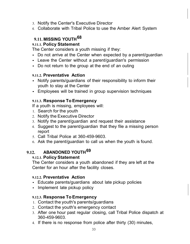- 3. Notify the Center's Executive Director
- 4. Collaborate with Tribal Police to use the Amber Alert System

# **9.11. MISSING YOUTH<sup>68</sup>**

### **9.11.1. Policy Statement**

The Center considers a youth missing if they:

- Do not arrive at the Center when expected by a parent/guardian
- Leave the Center without a parent/guardian's permission
- Do not return to the group at the end of an outing

### **9.11.2. Preventative Action**

- Notify parents/guardians of their responsibility to inform their youth to stay at the Center
- Employees will be trained in group supervision techniques

### **9.11.3. Response ToEmergency**

If a youth is missing, employees will:

- 1. Search for the youth
- 2. Notify the Executive Director
- 3. Notify the parent/guardian and request their assistance
- 4. Suggest to the parent/guardian that they file a missing person report
- 5. Call Tribal Police at 360-459-9603.
- 6. Ask the parent/guardian to call us when the youth is found.

# **9.12. ABANDONED YOUTH<sup>69</sup>**

### **9.12.1. Policy Statement**

The Center considers a youth abandoned if they are left at the Center for an hour after the facility closes.

### **9.12.2. Preventative Action**

- Educate parents/guardians about late pickup policies
- Implement late pickup policy

# **9.12.3. Response ToEmergency**

- 1. Contact the youth's parents/guardians
- 2. Contact the youth's emergency contact
- 3. After one hour past regular closing, call Tribal Police dispatch at 360-459-9603.
- 4. If there is no response from police after thirty (30) minutes,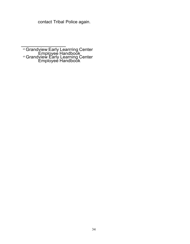contact Tribal Police again.

<sup>68</sup> Grandview Early Learrring Center Employee Handbook <sup>⊛</sup> Grand⊻iew Early Learning Center Employeé Handboŏk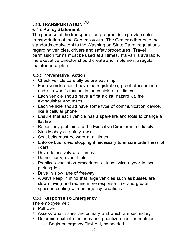# **9.13. TRANSPORTATION <sup>70</sup>**

# **9.13.1. Policy Statement**

The purpose of the transportation program is to provide safe transportation of the Center's youth. The Center adheres to the standards equivalent to the Washington State Patrol regulations regarding vehicles, drivers and safety procedures. Travel permission forms must be used at all times. If a van is available, the Executive Director should create and implement a regular maintenance plan.

### **9.13.2. Preventative Action**

- Check vehicle carefully before each trip
- Each vehicle should have the registration, proof of insurance and an owner's manual in the vehicle at all times
- Each vehicle should have a first aid kit, hazard kit, fire extinguisher and maps
- Each vehicle should have some type of communication device, like a cellular phone
- Ensure that each vehicle has a spare tire and tools to change a flat tire
- Report any problems to the Executive Director immediately
- Strictly obey all safety laws
- Seat belts must be worn at all times
- Enforce bus rules, stopping if necessary to ensure orderliness of riders
- Drive defensively at all times
- Do not hurry, even if late
- Practice evacuation procedures at least twice a year in local parking lots
- Drive in slow lane of freeway
- Always keep in mind that large vehicles such as busses are slow moving and require more response time and greater space in dealing with emergency situations

### **9.13.3. Response ToEmergency**

The employee will:

- 1. Pull over
- 2. Assess what issues are primary and which are secondary
- 3. Determine extent of injuries and prioritize need for treatment
	- a. Begin emergency First Aid, as needed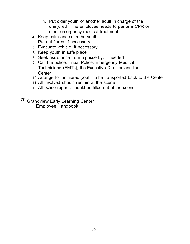- b. Put older youth or another adult in charge of the uninjured if the employee needs to perform CPR or other emergency medical treatment
- 4. Keep calm and calm the youth
- 5. Put out flares, if necessary
- 6. Evacuate vehicle, if necessary
- 7. Keep youth in safe place
- 8. Seek assistance from a passerby, if needed
- 9. Call the police, Tribal Police, Emergency Medical Technicians (EMTs), the Executive Director and the **Center**
- 10.Arrange for uninjured youth to be transported back to the Center
- 11.All involved should remain at the scene
- 12.All police reports should be filled out at the scene

70 Grandview Early Learning Center Employee Handbook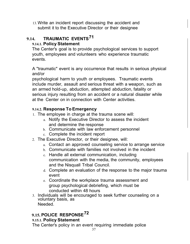13.Write an incident report discussing the accident and submit it to the Executive Director or their designee

#### **9.14. TRAUMATIC EVENTS71 9.14.1. Policy Statement**

The Center's goal is to provide psychological services to support youth, employees and volunteers who experience traumatic events.

A "traumatic" event is any occurrence that results in serious physical and/or

psychological harm to youth or employees. Traumatic events include murder, assault and serious threat with a weapon, such as an armed hold-up, abduction, attempted abduction, fatality or serious injury resulting from an accident or a natural disaster while at the Center on in connection with Center activities.

### **9.14.2. Response ToEmergency**

- 1. The employee in charge at the trauma scene will:
	- a. Notify the Executive Director to assess the incident and determine the response
	- b. Communicate with law enforcement personnel
	- c. Complete the incident report
- 2. The Executive Director, or their designee, will:
	- a. Contact an approved counseling service to arrange service
	- b. Communicate with families not involved in the incident
	- c. Handle all external communication, including communication with the media, the community, employees and the Nisquall Tribal Council.
	- d. Complete an evaluation of the response to the major trauma event
	- e. Coordinate the workplace trauma assessment and group psychological debriefing, which must be conducted within 48 hours
- 3. Individuals will be encouraged to seek further counseling on a voluntary basis, as Needed.

# **9.15. POLICE RESPONSE<sup>72</sup>**

### **9.15.1. Policy Statement**

The Center's policy in an event requiring immediate police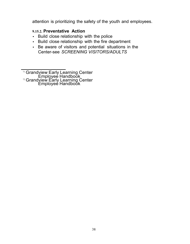attention is prioritizing the safety of the youth and employees.

### **9.15.2. Preventative Action**

- Build close relationship with the police
- Build close relationship with the fire department
- Be aware of visitors and potential situations in the Center-see *SCREENING VISITORS/ADULTS*

™ Grand⊻iew Early Learning Center Employee Handboõk<br>Grand<u>v</u>iew Early Learning Center "

Employeé Handboŏk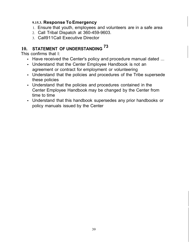#### **9.15.3. Response ToEmergency**

- 1. Ensure that youth, employees and volunteers are in a safe area
- 2. Call Tribal Dispatch at 360-459-9603.
- 3. Call911Call Executive Director

# **10. STATEMENT OF UNDERSTANDING <sup>73</sup>**

This confirms that I:

- Have received the Center's policy and procedure manual dated ...
- Understand that the Center Employee Handbook is not an agreement or contract for employment or volunteering
- Understand that the policies and procedures of the Tribe supersede these policies
- Understand that the policies and procedures contained in the Center Employee Handbook may be changed by the Center from time to time
- Understand that this handbook supersedes any prior handbooks or policy manuals issued by the Center